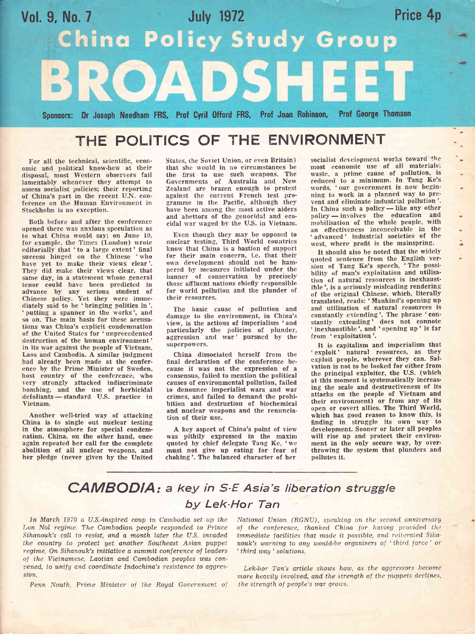

# THE POLITICS OF THE ENVIRONMENT

For all the technical, scientific, economic and political know-how at their disposal, most Western observers fail lamentably whenever they attempt to assess socialist policies; their reporting of China's part in the recent U.N. conferenee on the Human Environment in Stockholm is no exception,

Both before and after the conference opened there was anxious speculation as to what China would say; on June 10, for example, the Times (London) wrote editorially that ' to a large extent' final success hinged on the Chinese 'who have yet to make their views clear'. They did make their views clear, that same day, in a statement whose general tenor could have been predicted in advance by any serious student of Chinese policy. Yet they were immediately said to be 'bringing politics in', 'putting a spanner in the works', and so on. The main basis for these accusations was China's explicit condemnation of the Ltnited States for 'unprecedented destruction of the human environment' in its war against the people of Vietnam, Laos and Cambodia. A similar judgment had already been made at the conference by the Prime Minister of Sweden, host country of the conference, who very strongly attacked indiscriminate bombing, and the use of herbicidal defoliants-standard U.S. practice in Vietnam.

Another well-tried way of attacking China is to single out nuclear testing in the atmosphere for special condemnation. China, on the other hand, once again repeated her call for the complete abolition of all nuclear weapons, and her pledge (never given by the United States, the Soviet Union, or even Britain) that she would in no circumstances be the first to use such weapons. The Governments of Australia and New Zealand are brazen enough to protest against the current French test programme in the Facific, although they have been among the most active aiders and abettors of the genocidal and ecocidal war waged by the U.S. in Vietnam.

Even though they may be opposed to nuclear testing, Third World countries know that China is a bastion of support for their main concern, i.e. that their own development should not be ham' pered by measures initiated under the banner of conservation by precisely those affluent nations chiefly responsible for world pollution and the plunder of their resources.

The basic cause of pollution and damage to the environment, in China's view, is the actions of imperialism 'and particularly the policies of plunder aggression and war' pursued by the superpowers.

China dissociated herself from the final declaration of the conference because it was not the expression of <sup>a</sup> consensus, failed to mention the political causes of environmental pollution, failed to denounce imperialist wars and war crimes, and failed to demand the prohibition and destruction of biochemical and nuclear weapons and the renuneiation of their use.

A key aspect of China's point of view was pithily expressed in the maxim quoted by chief delegate Tang Ke, 'we must not give up eating for fear of choking'. The balaaced character of her

socialist development works toward the most economic use of all materials; waste, a prime cause of pollution, is reduced to a minimum. In Tang Ke's words, 'our government is now beginning to work in a planned way to prevent and eliminate industrial pollution'. In China such a policy — like any other<br>policy — involves the education and policy — involves- the education and policy — involves the cluddron and an effectiveness inconceivable in the advanced' industrial societies of the west, where profit is the mainspring.

It should also be noted that the widely quoted sentence from the English version of Tang Ke's speech, 'The possibility of man's exploitation and utilisation of natural resources is inexhaustible', is a seriously misleading rendering of the original Chinese, which, literally translated, reads: 'Mankind's opening up antl utilisation of natural resources is constantly extending'. The phrase 'constantly extending' does not connote ' inexhaustible', and ' opening up' is far from 'exploitation'.

It is capitalism and imperialism that ' exploit' natural resources, as they exploit people, wherever they can. Sal' vation is not to be looked for either from the principal exploiter, the U.S. (which at this moment is systematically increasing the scale and destructiveness of its attacks on the people of Vietnam and their environment) or from any of its open or covert allies. The Third World, which has good reason to know this, is finding in struggle its own way to development. Sooner or later all peoples will rise up and protect their environment in the only secure way, by overthrowing the system that plunders and pollutes it.

## CAMBODIA: a key in S-E Asia's liberation struggle by Lek-Hor Tan

In March 1970 a U.S.-inspired coup in Cambodia set up the Lon Nol regime. The Cambodian people responded to Prince Sihanouk's call to resist, and a month later the U.S. invaded the country to protect yet another Southeast Asian puppet  $regime$ . On Sihanouk's initiative a summit conference of leaders of the Vietnamese, Laotian and Cambodian peoples was con $vened$ , to unify and coordinate Indochina's resistance to aggression.

Penn Nouth, Prime Minister of the Royal Government of

National Union (RGNU), speaking on the second anniversary of the conference, thanked China for having provided the immediate facilities that made it possible, and reiterated Sihanouk's warning to any would-be organisers of 'third force' or ' third way ' solutions.

Lek-hor Tan's article shows how, as the aggressors become more heavily involved, and the strength of the puppets declines, the strength of people's war grows.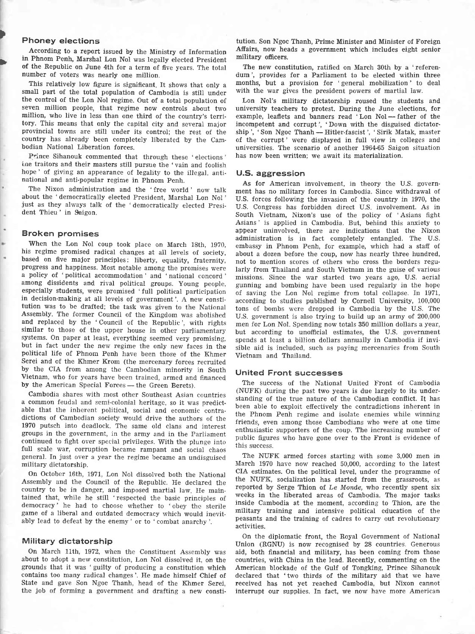## Phoney elections

>

According to a report issued by the Ministry of Information in Phnom Penh, Marshal Lon Nol was legally elected president of the Republic on June 4th for a term of five years. The total number of voters was nearly one million.

This relatively low figure is significant. It shows that only <sup>a</sup> small part of the total population of Cambodia is still under the control of the Lon Nol regime. Out of a total population of seven million people, that regime now controls about two million, who live in less than one third of the country's territory. This means that only the capital city and several major provincial towns are still under its control; the rest of the country has already been completely liberated by the Cambodian National Liberation forces.

Prince Sihanouk commented that through these 'elections' ine traitors and their masters still pursue the 'vain and foolish hope' of giving an appearance of legality to the illegal, antinational and anti-popular regime in Phnom Fenh.

The Nixon administration and the 'free world ' now talk about the 'democratically elected President, Marshal Lon Nol' just as they always talk of the 'democratically elected President Thieu' in Saigon.

#### Eroken promises

'When the Lon Nol coup took place on Mareh 18th, 1970, his regime promised radical changes at all levels of society, based on five major principles: liberty, equality, fraternity, progress and happiness. Most notable among the promises were a policy of 'political accommodation' and 'national concord' among dissidents and rival political groups. Young people, especially students, were promised 'full political participation in decision-making at all levels of government'. A new constitution was to be drafted; the task was given to the National Assembly. The former Council of the Kingdom was abolished and replaced by the 'Council of the Republic', with rights similar to those of the upper house in other parliamentary systems. On paper at least, everything seemed very promising, but in fact under the new regime the only new faces in the political life of Phnom Penh have been those of the Khmer Serei and of the Khmer Krom (the mercenary forces recruited by the CIA from among the Cambodian minority in South Vietnam, who for years have been trained, armed and financed by the American Special Forces - the Green Berets).

Cambodia shares with most other Southeast Asian countries a common feudal and semi-colonial heritage, so it was predictable that the inherent political, social and economic contradictions of Cambodian society would drive the authors of the 1970 putsch into deadlock. The same old clans and interest groups in the government, in the army and in the Parliament full scale war, corruption became rampant and social chaos general. In just over a year the regime became an undisguised military dictatorship.

On October 16th, 1971, Lon Nol dissolved both the National Assembly and the Council of the Republic. He declared the country to be in danger, and imposed martial law. He maintained that, while he still 'respected the basic principles of democracy' he had to choose whether to 'obey the sterile game of a liberal and outdated democracy which would inevitably lead to defeat by the enemy' or to ' combat anarchy '.

#### Military dictatorship

On March llth, 1972, when the Constituent Assembly was about to adopt a new constitution, Lon Nol dissolved it, on the grounds that it was 'guilty of producing a constitution which contains too many radical changes'. He made himself Chief of State and gave Son Ngoc Thanh, head of the Khmer Serei, the job of forming a government and drafting a new constitution. Son Ngoc Thanh, Prime Minister and Minister of Foreign Affairs, now heads a government which includes eight senior military officers.

The new constitution, ratified on March 30th by a 'referendum', provides for a Parliament to be elected within three months, but a provision for 'general mobilization' to deal with the war gives the president powers of martial law.

Lon Nol's military dictatorship roused the students and university teachers to protest. During the June elections, for example, leaflets and banners read 'Lon Nol-father of the Example, reanets and banners read Lon Nor-lattier of the<br>incompetent and corrupt', 'Down with the disguised dictatorship ', ' Son Ngoc Thanh Hitler-fascist ', ' Sirik Matak, master - of the corrupt' were displayed in full view in colleges and universities. The scenario of another 1964-65 Saigon situation has now been written; we await its materialization.

## U.S. aggression

As for American involvement, in theory the U.S. government has no military forces in Cambodia. Since withdrawal of U.S. forces following the invasion of the country in 1970, the U.S. Congress has forbidden direct U.S. involvement. As in South Vietnam, Nixon's use of the policy of 'Asians fight Asians' is applied in Cambodia. But, behind this anxiety to appear uninvolved, there are indications that the Nixon administration is in fact completely entangled. The U.S. embassy in Phnom Penh, for example, which had a staff of about a dozen before the coup, now has nearly three hundred, not to mention scores of others who cross the borders regularly from Thailand and South Vietnam in the guise of various missions. Since the war started two years ago, U.S. aerial gunning and bombing have been used regularly in the hope of saving the Lon NoI regime from total coliapse. In 1971, according to studies published by Cornell University, 100,000 tons of bombs were dropped in Cambodia by the U.S. The U.S. government is also trying to build up an army of 200,000 men for Lon Nol. Spending now totals 350 million dollars a year, but according to unofficial estimates, the U.S. government spends at least a billion dollars annually in Cambodia if invisible aid is included, such as paying mercenaries from South Vietnam and Thailand.

#### United Front successes

The success of the National United Front of Cambodia (NUFK) during the past two years is due largely to its understanding of the true nature of the Cambodian conflict. It has been able to exploit effectively the contradictions inherent in the Phnom Penh regime and isolate enemies while winning friends, even among those Cambodians who were at one time enthusiastic supporters of the coup. The increasing number of public figures who have gone over to the Front is evidence of this success.

The NUFK armed forces starting with some 3,000 men in March 1970 have now reached 50,000, according to the latest CIA estimates. On the political level, under the programme of the NUFK, socialization has started from the grasstoots, as reported by Serge Thion of  $Le$  Monde, who recently spent six weeks in the liberated areas of Cambodia. The major tasks inside Cambodia at the moment, according to Thion, are the military training and intensive political education of the peasants and the training of cadres to carry out revolutionary activities.

On the diplomatic front, the Royal Government of National Union (RGNU) is now recognised hy 28 countries. Generous aid, both financial and military, has been coming from those eountries, with China in the lead. Recently, commenting on the Arnerican blockade of the Gulf of Tongking, Prince Sihanouk declared that 'two thirds of the military aid that we have received has not yet reached Cambodia, but Nixon cannot interrupt our supplies. In fact, we now have more American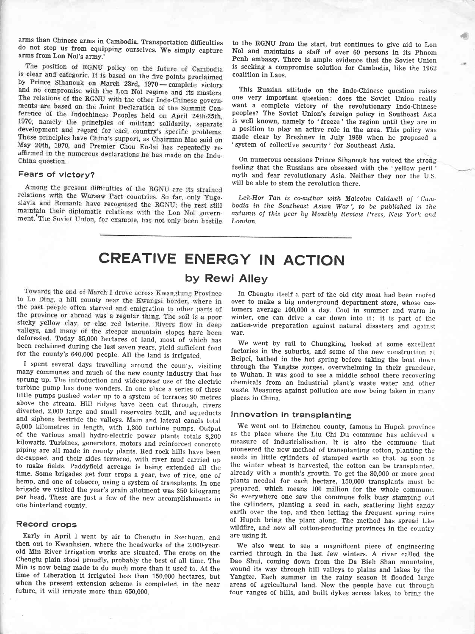arms than Chinese arms in Cambodia. Transportation difficulties portation difficulties<br>We simply capture arms from Lon Nol's army.'

The position of RGNU policy on the future of Cambodia is clear and categoric. It is based on the five points proclaimed by Prince Sihanouk on March 23rd, 1970 - complete victory and no compromise with the Lon Nol regime and its masters. The relations of the RGNU with the other Indo-Chinese governments are based on the Joint Declaration of the Summit Conference of the Indochinese Peoples held on April 24th-25th, 1970, namely the principles of militant solidarity, separate development and regard for each country's specific problems. These principles have China's support, as Chairman Mao said on May 20th, 1970, and Premier Chou En-lai has repeatedly reaffirmed in the numerous declarations he has made on the Indo-China question.

### Fears of victory?

Among the present difficulties of the RGNU are its strained relations with the Warsaw Pact countries. So far, only Yugoslavia and Romania have recognised the RGNU; the rest still maintain their diplomatic relations with the Lon Nol government. The Soviet Union, for example, has not only been hostile to the RGNU from the start, but continues to give aid to Lon Nol and maintains a staff of over 60 persons in its phnom Penh embassy. There is ample eyidence that the Soviet Union is seeking a compromise solution for Cambodia, like the <sup>1962</sup> coalition in Laos.

This Russian attitude on the Indo-Chinese question raises one very important question: does the Soviet Union really want a complete victory of the revolutionary fndo-Chinese peoples? The Soviet Union's foreign policy in Southeast Asia is well known, namely to 'freeze' the region until they are in a position to play an active role in the area. This poiicy was made clear by Brezhnev in July 1g69 when he proposed <sup>a</sup> system of collective security' for Southeast Asia.

On numerous occasions Prince Sihanouk has voiced the strong feeling that the Russians are obsessed with the 'yellow peril ' myth and fear revolutionary Asia. Neither they nor the U.S. will be able to stem the revolution there.

Lek-Hor Tan is co-author with Malcolm Caldwell of  $Cam$ bodia in the Southeast Asian War', to be published in the autumn of this year by Monthly Review Press, New York and Londan.

CREATIVE ENERGY IN ACTION

## by Rewi Alley

Towards the end of March I drove across Kwangtung Province to Lo Ding, a hill county near the Kwangsi border, where in the past people often starved and emigration to other parts of the province or abroad was a regular thing. The soil is a poor sticky yellow clay, or else red laterite. Rivers flow in deep valleys, and many of the steeper mountain slopes have been deforested. Today 35,000 hectares of land, most of which has been reclaimed during the last seven years, yield sufficient food for the county's 640,000 people. All the land is irrigated.

I spent several days travelling around the county, visiting many eommunes and much of the new county industry that has sprung up. The introduction and widespread use of the electric little pumps pushed water up to a system of terraces 90 metres above the stream. Hill ridges have been cut through, rivers diverted, 2,000 large and small reseryoirs built, and aqueducts and siphons bestride the valleys. Main and lateral canals total 5,000 kilometres in length, with 1,800 turbine pumps. Output of the various small hydro-electric power plants totals 8,200 piping are all made in county plants. Red rock hills have been<br>de-capped, and their sides terraced, with river mud carried up to make fields. Paddyfield acreage is being extended all the time. Some brigades get four crops a year, two of rice, one of hemp, and one of tobacco, using a system of transplants. fn one brigade we visited the year's grain allotment was 350 kilograms per head. These are just a few of the new accomplishments in one hinterland county.

### Record crops

Early in April I went by air to Chengtu in Szechuan, and then out to Kwanhsien, where the headworks of the 2,000-yearold Min River irrigation works are situated. The crops on the Chengtu plain stood proudly, probably the best of all time. The Min is now being made to do much more than it used to. At the time of Liberation it irrigated less than 150,000 hectares, but when the present extension scheme is completed, in the near future, it will irrigate more than 650,000.

In Chengtu itself a part of the old city moat had been roofed over to make a big underground department store, whose customers average 100,000 a day. Cool in summer and warm in winter, one can drive a car down into it: it is part of the nation-wide preparation against natural disasters and against war.

We went by rail to Chungking, looked at some excellent factories in the suburbs, and some of the new construction at Beipei, bathed in the hot spring before taking the boat down through the Yangtze gorges, overwhelming in their grandeur, to Wuhan. ft was good to see a middle school there recovering chemicals from an industrial plant's waste water and other waste. Measures against pollution are now being taken in many places in China.

## lnnovation in transplanting

We went out to Hsinchou county, famous in Hupeh province as the place where the Liu Chi Du commune has achieved a measure of industrialisation. It is also the commune that pioneered the new method of transplanting cotton, planting the seeds in little cylinders of stamped earth so that, as soon as the winter wheat is harvested, the cotton can be transplanted, already with a month's growth. To get the  $80,000$  or more good plants needed for each hectare, 150,000 transplants must be prepared, which means 100 million for the whole commune. So everywhere one saw the commune folk busy stamping out the cylinders, planting a seed in each, scattering light sandy earth over the top, and then letting the frequent spring rains of Hupeh bring the plant along. The method has spread like wildfire, and now all cotton-producing provinces in the country are using it.

We also went to see a magnificent piece of engineering carried through in the last few winters. A river called the Dao Shui, coming down from the Da Bieh Shan mountains, wound its way through hill valleys to plains and lakes by the Yangtze. Each summer in the rainy season it flooded large areas of agricultural land. Now the people have cut through four ranges of hills, and built dykes across lakes, to bring the